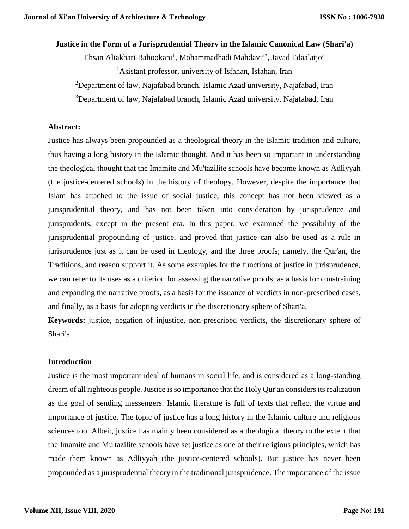# **Justice in the Form of a Jurisprudential Theory in the Islamic Canonical Law (Shari'a)**

Ehsan Aliakbari Babookani<sup>1</sup>, Mohammadhadi Mahdavi<sup>2\*</sup>, Javad Edaalatjo<sup>3</sup> <sup>1</sup>Asistant professor, university of Isfahan, Isfahan, Iran

<sup>2</sup>Department of law, Najafabad branch, Islamic Azad university, Najafabad, Iran

<sup>3</sup>Department of law, Najafabad branch, Islamic Azad university, Najafabad, Iran

#### **Abstract:**

Justice has always been propounded as a theological theory in the Islamic tradition and culture, thus having a long history in the Islamic thought. And it has been so important in understanding the theological thought that the Imamite and Mu'tazilite schools have become known as Adliyyah (the justice-centered schools) in the history of theology. However, despite the importance that Islam has attached to the issue of social justice, this concept has not been viewed as a jurisprudential theory, and has not been taken into consideration by jurisprudence and jurisprudents, except in the present era. In this paper, we examined the possibility of the jurisprudential propounding of justice, and proved that justice can also be used as a rule in jurisprudence just as it can be used in theology, and the three proofs; namely, the Qur'an, the Traditions, and reason support it. As some examples for the functions of justice in jurisprudence, we can refer to its uses as a criterion for assessing the narrative proofs, as a basis for constraining and expanding the narrative proofs, as a basis for the issuance of verdicts in non-prescribed cases, and finally, as a basis for adopting verdicts in the discretionary sphere of Shari'a.

**Keywords:** justice, negation of injustice, non-prescribed verdicts, the discretionary sphere of Shari'a

#### **Introduction**

Justice is the most important ideal of humans in social life, and is considered as a long-standing dream of all righteous people. Justice is so importance that the Holy Qur'an considers its realization as the goal of sending messengers. Islamic literature is full of texts that reflect the virtue and importance of justice. The topic of justice has a long history in the Islamic culture and religious sciences too. Albeit, justice has mainly been considered as a theological theory to the extent that the Imamite and Mu'tazilite schools have set justice as one of their religious principles, which has made them known as Adliyyah (the justice-centered schools). But justice has never been propounded as a jurisprudential theory in the traditional jurisprudence. The importance of the issue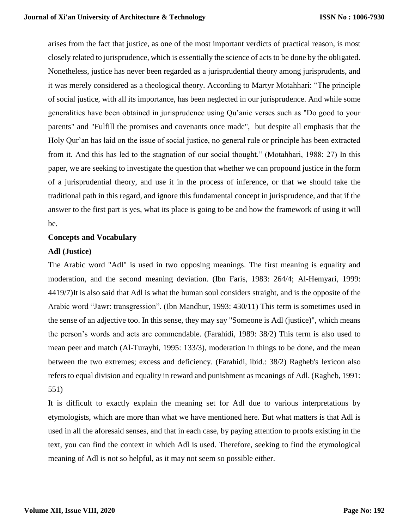arises from the fact that justice, as one of the most important verdicts of practical reason, is most closely related to jurisprudence, which is essentially the science of acts to be done by the obligated. Nonetheless, justice has never been regarded as a jurisprudential theory among jurisprudents, and it was merely considered as a theological theory. According to Martyr Motahhari: "The principle of social justice, with all its importance, has been neglected in our jurisprudence. And while some generalities have been obtained in jurisprudence using Qu'anic verses such as "Do good to your parents" and "Fulfill the promises and covenants once made", but despite all emphasis that the Holy Qur'an has laid on the issue of social justice, no general rule or principle has been extracted from it. And this has led to the stagnation of our social thought." (Motahhari, 1988: 27) In this paper, we are seeking to investigate the question that whether we can propound justice in the form of a jurisprudential theory, and use it in the process of inference, or that we should take the traditional path in this regard, and ignore this fundamental concept in jurisprudence, and that if the answer to the first part is yes, what its place is going to be and how the framework of using it will be.

#### **Concepts and Vocabulary**

#### **Adl (Justice)**

The Arabic word "Adl" is used in two opposing meanings. The first meaning is equality and moderation, and the second meaning deviation. (Ibn Faris, 1983: 264/4; Al-Hemyari, 1999: 4419/7)It is also said that Adl is what the human soul considers straight, and is the opposite of the Arabic word "Jawr: transgression". (Ibn Mandhur, 1993: 430/11) This term is sometimes used in the sense of an adjective too. In this sense, they may say "Someone is Adl (justice)", which means the person's words and acts are commendable. (Farahidi, 1989: 38/2) This term is also used to mean peer and match (Al-Turayhi, 1995: 133/3), moderation in things to be done, and the mean between the two extremes; excess and deficiency. (Farahidi, ibid.: 38/2) Ragheb's lexicon also refers to equal division and equality in reward and punishment as meanings of Adl. (Ragheb, 1991: 551)

It is difficult to exactly explain the meaning set for Adl due to various interpretations by etymologists, which are more than what we have mentioned here. But what matters is that Adl is used in all the aforesaid senses, and that in each case, by paying attention to proofs existing in the text, you can find the context in which Adl is used. Therefore, seeking to find the etymological meaning of Adl is not so helpful, as it may not seem so possible either.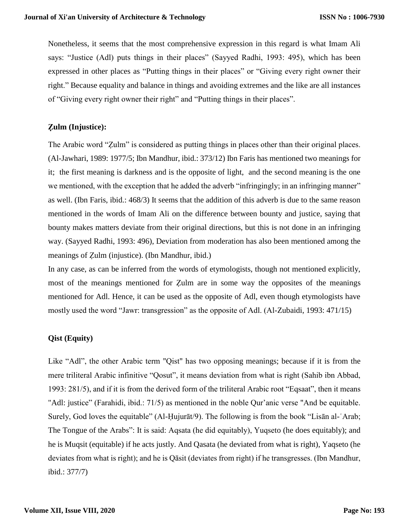Nonetheless, it seems that the most comprehensive expression in this regard is what Imam Ali says: "Justice (Adl) puts things in their places" (Sayyed Radhi, 1993: 495), which has been expressed in other places as "Putting things in their places" or "Giving every right owner their right." Because equality and balance in things and avoiding extremes and the like are all instances of "Giving every right owner their right" and "Putting things in their places".

# **Ẓulm (Injustice):**

The Arabic word "Ẓulm" is considered as putting things in places other than their original places. (Al-Jawhari, 1989: 1977/5; Ibn Mandhur, ibid.: 373/12) Ibn Faris has mentioned two meanings for it; the first meaning is darkness and is the opposite of light, and the second meaning is the one we mentioned, with the exception that he added the adverb "infringingly; in an infringing manner" as well. (Ibn Faris, ibid.: 468/3) It seems that the addition of this adverb is due to the same reason mentioned in the words of Imam Ali on the difference between bounty and justice, saying that bounty makes matters deviate from their original directions, but this is not done in an infringing way. (Sayyed Radhi, 1993: 496), Deviation from moderation has also been mentioned among the meanings of Ẓulm (injustice). (Ibn Mandhur, ibid.)

In any case, as can be inferred from the words of etymologists, though not mentioned explicitly, most of the meanings mentioned for Ẓulm are in some way the opposites of the meanings mentioned for Adl. Hence, it can be used as the opposite of Adl, even though etymologists have mostly used the word "Jawr: transgression" as the opposite of Adl. (Al-Zubaidi, 1993: 471/15)

# **Qist (Equity)**

Like "Adl", the other Arabic term "Qist" has two opposing meanings; because if it is from the mere triliteral Arabic infinitive "Qosut", it means deviation from what is right (Sahib ibn Abbad, 1993: 281/5), and if it is from the derived form of the triliteral Arabic root "Eqsaat", then it means "Adl: justice" (Farahidi, ibid.: 71/5) as mentioned in the noble Qur'anic verse "And be equitable. Surely, God loves the equitable" (Al-Ḥujurāt/9). The following is from the book "Lisān al-ʿArab; The Tongue of the Arabs": It is said: Aqsata (he did equitably), Yuqseto (he does equitably); and he is Muqsit (equitable) if he acts justly. And Qasata (he deviated from what is right), Yaqseto (he deviates from what is right); and he is Qāsit (deviates from right) if he transgresses. (Ibn Mandhur, ibid.: 377/7)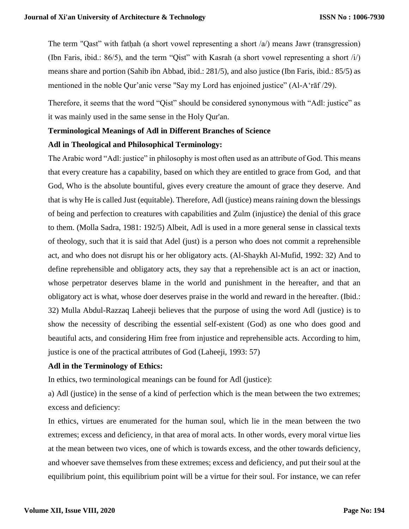The term "Qast" with fathah (a short vowel representing a short  $\alpha$ ) means Jawr (transgression) (Ibn Faris, ibid.: 86/5), and the term "Qist" with Kasrah (a short vowel representing a short /i/) means share and portion (Sahib ibn Abbad, ibid.: 281/5), and also justice (Ibn Faris, ibid.: 85/5) as mentioned in the noble Qur'anic verse "Say my Lord has enjoined justice" (Al-Aʻrāf /29).

Therefore, it seems that the word "Qist" should be considered synonymous with "Adl: justice" as it was mainly used in the same sense in the Holy Qur'an.

# **Terminological Meanings of Adl in Different Branches of Science**

#### **Adl in Theological and Philosophical Terminology:**

The Arabic word "Adl: justice" in philosophy is most often used as an attribute of God. This means that every creature has a capability, based on which they are entitled to grace from God, and that God, Who is the absolute bountiful, gives every creature the amount of grace they deserve. And that is why He is called Just (equitable). Therefore, Adl (justice) means raining down the blessings of being and perfection to creatures with capabilities and Ẓulm (injustice) the denial of this grace to them. (Molla Sadra, 1981: 192/5) Albeit, Adl is used in a more general sense in classical texts of theology, such that it is said that Adel (just) is a person who does not commit a reprehensible act, and who does not disrupt his or her obligatory acts. (Al-Shaykh Al-Mufid, 1992: 32) And to define reprehensible and obligatory acts, they say that a reprehensible act is an act or inaction, whose perpetrator deserves blame in the world and punishment in the hereafter, and that an obligatory act is what, whose doer deserves praise in the world and reward in the hereafter. (Ibid.: 32) Mulla Abdul-Razzaq Laheeji believes that the purpose of using the word Adl (justice) is to show the necessity of describing the essential self-existent (God) as one who does good and beautiful acts, and considering Him free from injustice and reprehensible acts. According to him, justice is one of the practical attributes of God (Laheeji, 1993: 57)

#### **Adl in the Terminology of Ethics:**

In ethics, two terminological meanings can be found for Adl (justice):

a) Adl (justice) in the sense of a kind of perfection which is the mean between the two extremes; excess and deficiency:

In ethics, virtues are enumerated for the human soul, which lie in the mean between the two extremes; excess and deficiency, in that area of moral acts. In other words, every moral virtue lies at the mean between two vices, one of which is towards excess, and the other towards deficiency, and whoever save themselves from these extremes; excess and deficiency, and put their soul at the equilibrium point, this equilibrium point will be a virtue for their soul. For instance, we can refer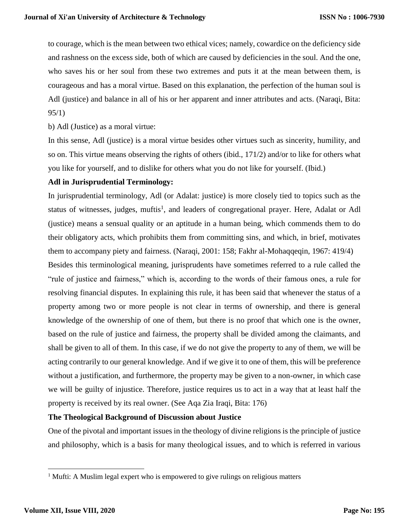to courage, which is the mean between two ethical vices; namely, cowardice on the deficiency side and rashness on the excess side, both of which are caused by deficiencies in the soul. And the one, who saves his or her soul from these two extremes and puts it at the mean between them, is courageous and has a moral virtue. Based on this explanation, the perfection of the human soul is Adl (justice) and balance in all of his or her apparent and inner attributes and acts. (Naraqi, Bita: 95/1)

b) Adl (Justice) as a moral virtue:

In this sense, Adl (justice) is a moral virtue besides other virtues such as sincerity, humility, and so on. This virtue means observing the rights of others (ibid., 171/2) and/or to like for others what you like for yourself, and to dislike for others what you do not like for yourself. (Ibid.)

#### **Adl in Jurisprudential Terminology:**

In jurisprudential terminology, Adl (or Adalat: justice) is more closely tied to topics such as the status of witnesses, judges, muftis<sup>1</sup>, and leaders of congregational prayer. Here, Adalat or Adl (justice) means a sensual quality or an aptitude in a human being, which commends them to do their obligatory acts, which prohibits them from committing sins, and which, in brief, motivates them to accompany piety and fairness. (Naraqi, 2001: 158; Fakhr al-Mohaqqeqin, 1967: 419/4) Besides this terminological meaning, jurisprudents have sometimes referred to a rule called the "rule of justice and fairness," which is, according to the words of their famous ones, a rule for resolving financial disputes. In explaining this rule, it has been said that whenever the status of a property among two or more people is not clear in terms of ownership, and there is general knowledge of the ownership of one of them, but there is no proof that which one is the owner, based on the rule of justice and fairness, the property shall be divided among the claimants, and shall be given to all of them. In this case, if we do not give the property to any of them, we will be acting contrarily to our general knowledge. And if we give it to one of them, this will be preference without a justification, and furthermore, the property may be given to a non-owner, in which case we will be guilty of injustice. Therefore, justice requires us to act in a way that at least half the property is received by its real owner. (See Aqa Zia Iraqi, Bita: 176)

#### **The Theological Background of Discussion about Justice**

One of the pivotal and important issues in the theology of divine religions is the principle of justice and philosophy, which is a basis for many theological issues, and to which is referred in various

 $\overline{\phantom{a}}$ 

<sup>&</sup>lt;sup>1</sup> Mufti: A Muslim legal expert who is empowered to give rulings on religious matters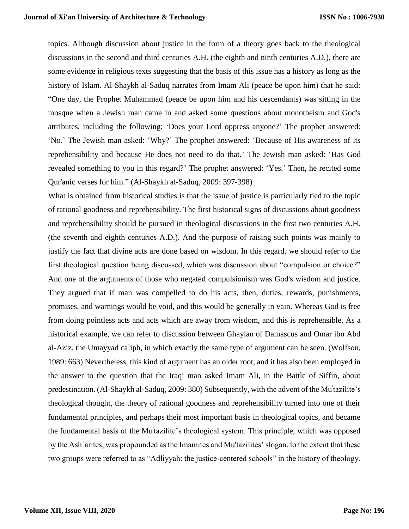topics. Although discussion about justice in the form of a theory goes back to the theological discussions in the second and third centuries A.H. (the eighth and ninth centuries A.D.), there are some evidence in religious texts suggesting that the basis of this issue has a history as long as the history of Islam. Al-Shaykh al-Saduq narrates from Imam Ali (peace be upon him) that he said: "One day, the Prophet Muhammad (peace be upon him and his descendants) was sitting in the mosque when a Jewish man came in and asked some questions about monotheism and God's attributes, including the following: 'Does your Lord oppress anyone?' The prophet answered: 'No.' The Jewish man asked: 'Why?' The prophet answered: 'Because of His awareness of its reprehensibility and because He does not need to do that.' The Jewish man asked: 'Has God revealed something to you in this regard?' The prophet answered: 'Yes.' Then, he recited some Qur'anic verses for him." (Al-Shaykh al-Saduq, 2009: 397-398)

What is obtained from historical studies is that the issue of justice is particularly tied to the topic of rational goodness and reprehensibility. The first historical signs of discussions about goodness and reprehensibility should be pursued in theological discussions in the first two centuries A.H. (the seventh and eighth centuries A.D.). And the purpose of raising such points was mainly to justify the fact that divine acts are done based on wisdom. In this regard, we should refer to the first theological question being discussed, which was discussion about "compulsion or choice?" And one of the arguments of those who negated compulsionism was God's wisdom and justice. They argued that if man was compelled to do his acts, then, duties, rewards, punishments, promises, and warnings would be void, and this would be generally in vain. Whereas God is free from doing pointless acts and acts which are away from wisdom, and this is reprehensible. As a historical example, we can refer to discussion between Ghaylan of Damascus and Omar ibn Abd al-Aziz, the Umayyad caliph, in which exactly the same type of argument can be seen. (Wolfson, 1989: 663) Nevertheless, this kind of argument has an older root, and it has also been employed in the answer to the question that the Iraqi man asked Imam Ali, in the Battle of Siffin, about predestination. (Al-Shaykh al-Saduq, 2009: 380) Subsequently, with the advent of the Mu<sup>†</sup>tazilite's theological thought, the theory of rational goodness and reprehensibility turned into one of their fundamental principles, and perhaps their most important basis in theological topics, and became the fundamental basis of the Mu'tazilite's theological system. This principle, which was opposed by the Ashʿarites, was propounded as the Imamites and Mu'tazilites' slogan, to the extent that these two groups were referred to as "Adliyyah: the justice-centered schools" in the history of theology.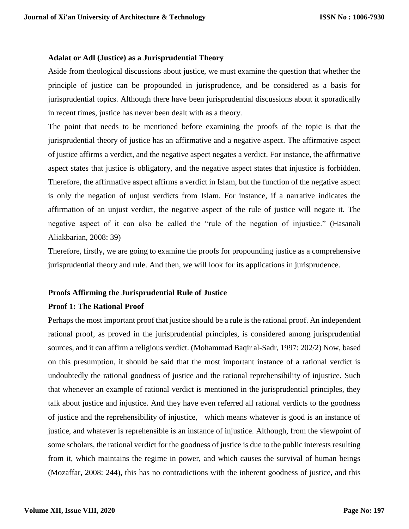#### **Adalat or Adl (Justice) as a Jurisprudential Theory**

Aside from theological discussions about justice, we must examine the question that whether the principle of justice can be propounded in jurisprudence, and be considered as a basis for jurisprudential topics. Although there have been jurisprudential discussions about it sporadically in recent times, justice has never been dealt with as a theory.

The point that needs to be mentioned before examining the proofs of the topic is that the jurisprudential theory of justice has an affirmative and a negative aspect. The affirmative aspect of justice affirms a verdict, and the negative aspect negates a verdict. For instance, the affirmative aspect states that justice is obligatory, and the negative aspect states that injustice is forbidden. Therefore, the affirmative aspect affirms a verdict in Islam, but the function of the negative aspect is only the negation of unjust verdicts from Islam. For instance, if a narrative indicates the affirmation of an unjust verdict, the negative aspect of the rule of justice will negate it. The negative aspect of it can also be called the "rule of the negation of injustice." (Hasanali Aliakbarian, 2008: 39)

Therefore, firstly, we are going to examine the proofs for propounding justice as a comprehensive jurisprudential theory and rule. And then, we will look for its applications in jurisprudence.

#### **Proofs Affirming the Jurisprudential Rule of Justice**

#### **Proof 1: The Rational Proof**

Perhaps the most important proof that justice should be a rule is the rational proof. An independent rational proof, as proved in the jurisprudential principles, is considered among jurisprudential sources, and it can affirm a religious verdict. (Mohammad Baqir al-Sadr, 1997: 202/2) Now, based on this presumption, it should be said that the most important instance of a rational verdict is undoubtedly the rational goodness of justice and the rational reprehensibility of injustice. Such that whenever an example of rational verdict is mentioned in the jurisprudential principles, they talk about justice and injustice. And they have even referred all rational verdicts to the goodness of justice and the reprehensibility of injustice, which means whatever is good is an instance of justice, and whatever is reprehensible is an instance of injustice. Although, from the viewpoint of some scholars, the rational verdict for the goodness of justice is due to the public interests resulting from it, which maintains the regime in power, and which causes the survival of human beings (Mozaffar, 2008: 244), this has no contradictions with the inherent goodness of justice, and this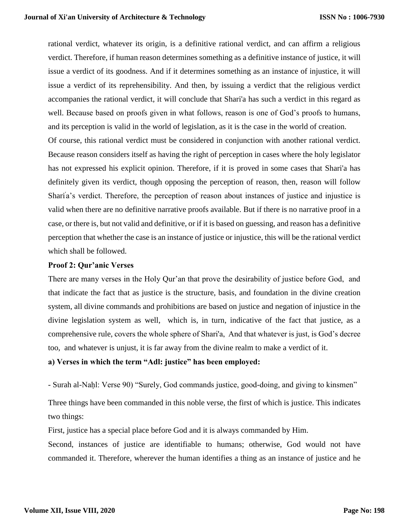rational verdict, whatever its origin, is a definitive rational verdict, and can affirm a religious verdict. Therefore, if human reason determines something as a definitive instance of justice, it will issue a verdict of its goodness. And if it determines something as an instance of injustice, it will issue a verdict of its reprehensibility. And then, by issuing a verdict that the religious verdict accompanies the rational verdict, it will conclude that Shari'a has such a verdict in this regard as well. Because based on proofs given in what follows, reason is one of God's proofs to humans, and its perception is valid in the world of legislation, as it is the case in the world of creation. Of course, this rational verdict must be considered in conjunction with another rational verdict.

Because reason considers itself as having the right of perception in cases where the holy legislator has not expressed his explicit opinion. Therefore, if it is proved in some cases that Shari'a has definitely given its verdict, though opposing the perception of reason, then, reason will follow Sharia's verdict. Therefore, the perception of reason about instances of justice and injustice is valid when there are no definitive narrative proofs available. But if there is no narrative proof in a case, or there is, but not valid and definitive, or if it is based on guessing, and reason has a definitive perception that whether the case is an instance of justice or injustice, this will be the rational verdict which shall be followed.

#### **Proof 2: Qur'anic Verses**

There are many verses in the Holy Qur'an that prove the desirability of justice before God, and that indicate the fact that as justice is the structure, basis, and foundation in the divine creation system, all divine commands and prohibitions are based on justice and negation of injustice in the divine legislation system as well, which is, in turn, indicative of the fact that justice, as a comprehensive rule, covers the whole sphere of Shari'a, And that whatever is just, is God's decree too, and whatever is unjust, it is far away from the divine realm to make a verdict of it.

#### **a) Verses in which the term "Adl: justice" has been employed:**

- Surah al-Naḥl: Verse 90) "Surely, God commands justice, good-doing, and giving to kinsmen"

Three things have been commanded in this noble verse, the first of which is justice. This indicates two things:

First, justice has a special place before God and it is always commanded by Him.

Second, instances of justice are identifiable to humans; otherwise, God would not have commanded it. Therefore, wherever the human identifies a thing as an instance of justice and he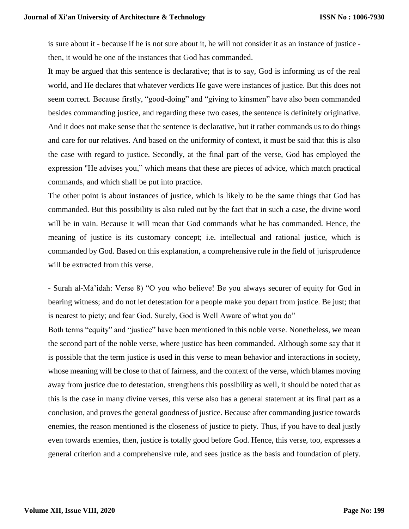is sure about it - because if he is not sure about it, he will not consider it as an instance of justice then, it would be one of the instances that God has commanded.

It may be argued that this sentence is declarative; that is to say, God is informing us of the real world, and He declares that whatever verdicts He gave were instances of justice. But this does not seem correct. Because firstly, "good-doing" and "giving to kinsmen" have also been commanded besides commanding justice, and regarding these two cases, the sentence is definitely originative. And it does not make sense that the sentence is declarative, but it rather commands us to do things and care for our relatives. And based on the uniformity of context, it must be said that this is also the case with regard to justice. Secondly, at the final part of the verse, God has employed the expression "He advises you," which means that these are pieces of advice, which match practical commands, and which shall be put into practice.

The other point is about instances of justice, which is likely to be the same things that God has commanded. But this possibility is also ruled out by the fact that in such a case, the divine word will be in vain. Because it will mean that God commands what he has commanded. Hence, the meaning of justice is its customary concept; i.e. intellectual and rational justice, which is commanded by God. Based on this explanation, a comprehensive rule in the field of jurisprudence will be extracted from this verse.

- Surah al-Mā'idah: Verse 8) "O you who believe! Be you always securer of equity for God in bearing witness; and do not let detestation for a people make you depart from justice. Be just; that is nearest to piety; and fear God. Surely, God is Well Aware of what you do"

Both terms "equity" and "justice" have been mentioned in this noble verse. Nonetheless, we mean the second part of the noble verse, where justice has been commanded. Although some say that it is possible that the term justice is used in this verse to mean behavior and interactions in society, whose meaning will be close to that of fairness, and the context of the verse, which blames moving away from justice due to detestation, strengthens this possibility as well, it should be noted that as this is the case in many divine verses, this verse also has a general statement at its final part as a conclusion, and proves the general goodness of justice. Because after commanding justice towards enemies, the reason mentioned is the closeness of justice to piety. Thus, if you have to deal justly even towards enemies, then, justice is totally good before God. Hence, this verse, too, expresses a general criterion and a comprehensive rule, and sees justice as the basis and foundation of piety.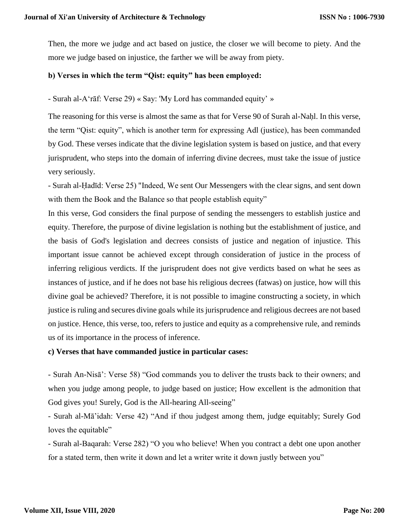Then, the more we judge and act based on justice, the closer we will become to piety. And the more we judge based on injustice, the farther we will be away from piety.

# **b) Verses in which the term "Qist: equity" has been employed:**

- Surah al-Aʻrāf: Verse 29) « Say: 'My Lord has commanded equity' »

The reasoning for this verse is almost the same as that for Verse 90 of Surah al-Naḥl. In this verse, the term "Qist: equity", which is another term for expressing Adl (justice), has been commanded by God. These verses indicate that the divine legislation system is based on justice, and that every jurisprudent, who steps into the domain of inferring divine decrees, must take the issue of justice very seriously.

- Surah al-Ḥadīd: Verse 25) "Indeed, We sent Our Messengers with the clear signs, and sent down with them the Book and the Balance so that people establish equity"

In this verse, God considers the final purpose of sending the messengers to establish justice and equity. Therefore, the purpose of divine legislation is nothing but the establishment of justice, and the basis of God's legislation and decrees consists of justice and negation of injustice. This important issue cannot be achieved except through consideration of justice in the process of inferring religious verdicts. If the jurisprudent does not give verdicts based on what he sees as instances of justice, and if he does not base his religious decrees (fatwas) on justice, how will this divine goal be achieved? Therefore, it is not possible to imagine constructing a society, in which justice is ruling and secures divine goals while its jurisprudence and religious decrees are not based on justice. Hence, this verse, too, refers to justice and equity as a comprehensive rule, and reminds us of its importance in the process of inference.

#### **c) Verses that have commanded justice in particular cases:**

- Surah An-Nisā': Verse 58) "God commands you to deliver the trusts back to their owners; and when you judge among people, to judge based on justice; How excellent is the admonition that God gives you! Surely, God is the All-hearing All-seeing"

- Surah al-Mā'idah: Verse 42) "And if thou judgest among them, judge equitably; Surely God loves the equitable"

- Surah al-Baqarah: Verse 282) "O you who believe! When you contract a debt one upon another for a stated term, then write it down and let a writer write it down justly between you"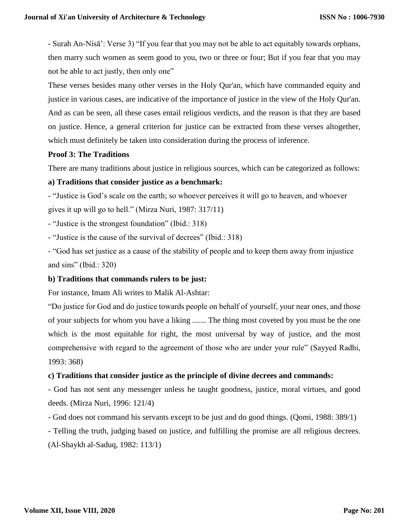- Surah An-Nisā': Verse 3) "If you fear that you may not be able to act equitably towards orphans, then marry such women as seem good to you, two or three or four; But if you fear that you may not be able to act justly, then only one"

These verses besides many other verses in the Holy Qur'an, which have commanded equity and justice in various cases, are indicative of the importance of justice in the view of the Holy Qur'an. And as can be seen, all these cases entail religious verdicts, and the reason is that they are based on justice. Hence, a general criterion for justice can be extracted from these verses altogether, which must definitely be taken into consideration during the process of inference.

# **Proof 3: The Traditions**

There are many traditions about justice in religious sources, which can be categorized as follows:

# **a) Traditions that consider justice as a benchmark:**

- "Justice is God's scale on the earth; so whoever perceives it will go to heaven, and whoever gives it up will go to hell." (Mirza Nuri, 1987: 317/11)

- "Justice is the strongest foundation" (Ibid.: 318)

- "Justice is the cause of the survival of decrees" (Ibid.: 318)

- "God has set justice as a cause of the stability of people and to keep them away from injustice and sins" (Ibid.: 320)

#### **b) Traditions that commands rulers to be just:**

For instance, Imam Ali writes to Malik Al-Ashtar:

"Do justice for God and do justice towards people on behalf of yourself, your near ones, and those of your subjects for whom you have a liking ....... The thing most coveted by you must be the one which is the most equitable for right, the most universal by way of justice, and the most comprehensive with regard to the agreement of those who are under your rule" (Sayyed Radhi, 1993: 368)

#### **c) Traditions that consider justice as the principle of divine decrees and commands:**

- God has not sent any messenger unless he taught goodness, justice, moral virtues, and good deeds. (Mirza Nuri, 1996: 121/4)

- God does not command his servants except to be just and do good things. (Qomi, 1988: 389/1)

- Telling the truth, judging based on justice, and fulfilling the promise are all religious decrees.

(Al-Shaykh al-Saduq, 1982: 113/1)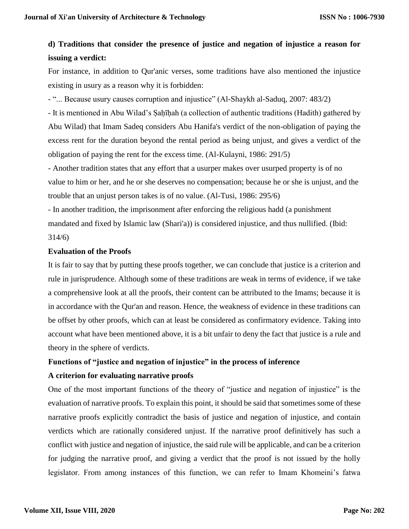# **d) Traditions that consider the presence of justice and negation of injustice a reason for issuing a verdict:**

For instance, in addition to Qur'anic verses, some traditions have also mentioned the injustice existing in usury as a reason why it is forbidden:

- "... Because usury causes corruption and injustice" (Al-Shaykh al-Saduq, 2007: 483/2)

- It is mentioned in Abu Wilad's Ṣaḥīḥah (a collection of authentic traditions (Hadith) gathered by Abu Wilad) that Imam Sadeq considers Abu Hanifa's verdict of the non-obligation of paying the excess rent for the duration beyond the rental period as being unjust, and gives a verdict of the obligation of paying the rent for the excess time. (Al-Kulayni, 1986: 291/5)

- Another tradition states that any effort that a usurper makes over usurped property is of no value to him or her, and he or she deserves no compensation; because he or she is unjust, and the trouble that an unjust person takes is of no value. (Al-Tusi, 1986: 295/6)

- In another tradition, the imprisonment after enforcing the religious hadd (a punishment mandated and fixed by Islamic law (Shari'a)) is considered injustice, and thus nullified. (Ibid: 314/6)

#### **Evaluation of the Proofs**

It is fair to say that by putting these proofs together, we can conclude that justice is a criterion and rule in jurisprudence. Although some of these traditions are weak in terms of evidence, if we take a comprehensive look at all the proofs, their content can be attributed to the Imams; because it is in accordance with the Qur'an and reason. Hence, the weakness of evidence in these traditions can be offset by other proofs, which can at least be considered as confirmatory evidence. Taking into account what have been mentioned above, it is a bit unfair to deny the fact that justice is a rule and theory in the sphere of verdicts.

# **Functions of "justice and negation of injustice" in the process of inference**

# **A criterion for evaluating narrative proofs**

One of the most important functions of the theory of "justice and negation of injustice" is the evaluation of narrative proofs. To explain this point, it should be said that sometimes some of these narrative proofs explicitly contradict the basis of justice and negation of injustice, and contain verdicts which are rationally considered unjust. If the narrative proof definitively has such a conflict with justice and negation of injustice, the said rule will be applicable, and can be a criterion for judging the narrative proof, and giving a verdict that the proof is not issued by the holly legislator. From among instances of this function, we can refer to Imam Khomeini's fatwa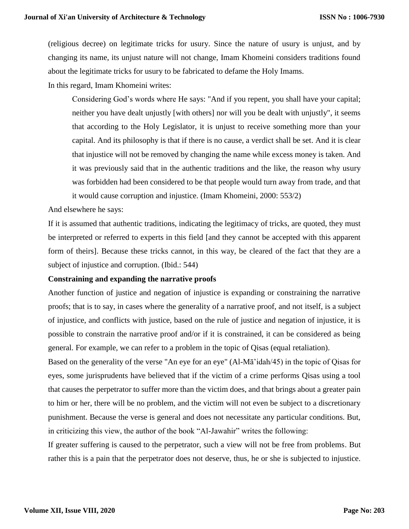(religious decree) on legitimate tricks for usury. Since the nature of usury is unjust, and by changing its name, its unjust nature will not change, Imam Khomeini considers traditions found about the legitimate tricks for usury to be fabricated to defame the Holy Imams.

In this regard, Imam Khomeini writes:

Considering God's words where He says: "And if you repent, you shall have your capital; neither you have dealt unjustly [with others] nor will you be dealt with unjustly", it seems that according to the Holy Legislator, it is unjust to receive something more than your capital. And its philosophy is that if there is no cause, a verdict shall be set. And it is clear that injustice will not be removed by changing the name while excess money is taken. And it was previously said that in the authentic traditions and the like, the reason why usury was forbidden had been considered to be that people would turn away from trade, and that it would cause corruption and injustice. (Imam Khomeini, 2000: 553/2)

And elsewhere he says:

If it is assumed that authentic traditions, indicating the legitimacy of tricks, are quoted, they must be interpreted or referred to experts in this field [and they cannot be accepted with this apparent form of theirs]. Because these tricks cannot, in this way, be cleared of the fact that they are a subject of injustice and corruption. (Ibid.: 544)

#### **Constraining and expanding the narrative proofs**

Another function of justice and negation of injustice is expanding or constraining the narrative proofs; that is to say, in cases where the generality of a narrative proof, and not itself, is a subject of injustice, and conflicts with justice, based on the rule of justice and negation of injustice, it is possible to constrain the narrative proof and/or if it is constrained, it can be considered as being general. For example, we can refer to a problem in the topic of Qisas (equal retaliation).

Based on the generality of the verse "An eye for an eye" (Al-Mā'idah/45) in the topic of Qisas for eyes, some jurisprudents have believed that if the victim of a crime performs Qisas using a tool that causes the perpetrator to suffer more than the victim does, and that brings about a greater pain to him or her, there will be no problem, and the victim will not even be subject to a discretionary punishment. Because the verse is general and does not necessitate any particular conditions. But, in criticizing this view, the author of the book "Al-Jawahir" writes the following:

If greater suffering is caused to the perpetrator, such a view will not be free from problems. But rather this is a pain that the perpetrator does not deserve, thus, he or she is subjected to injustice.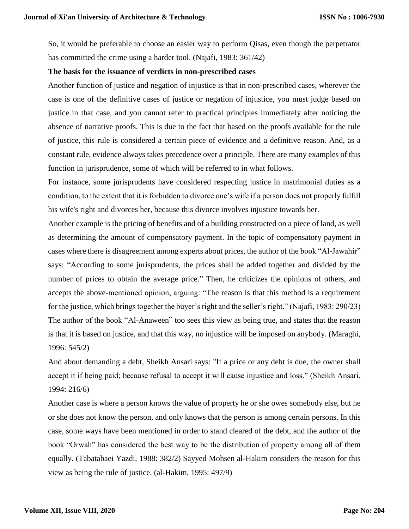So, it would be preferable to choose an easier way to perform Qisas, even though the perpetrator has committed the crime using a harder tool. (Najafi, 1983: 361/42)

#### **The basis for the issuance of verdicts in non-prescribed cases**

Another function of justice and negation of injustice is that in non-prescribed cases, wherever the case is one of the definitive cases of justice or negation of injustice, you must judge based on justice in that case, and you cannot refer to practical principles immediately after noticing the absence of narrative proofs. This is due to the fact that based on the proofs available for the rule of justice, this rule is considered a certain piece of evidence and a definitive reason. And, as a constant rule, evidence always takes precedence over a principle. There are many examples of this function in jurisprudence, some of which will be referred to in what follows.

For instance, some jurisprudents have considered respecting justice in matrimonial duties as a condition, to the extent that it is forbidden to divorce one's wife if a person does not properly fulfill his wife's right and divorces her, because this divorce involves injustice towards her.

Another example is the pricing of benefits and of a building constructed on a piece of land, as well as determining the amount of compensatory payment. In the topic of compensatory payment in cases where there is disagreement among experts about prices, the author of the book "Al-Jawahir" says: "According to some jurisprudents, the prices shall be added together and divided by the number of prices to obtain the average price." Then, he criticizes the opinions of others, and accepts the above-mentioned opinion, arguing: "The reason is that this method is a requirement for the justice, which brings together the buyer's right and the seller's right." (Najafi, 1983: 290/23) The author of the book "Al-Anaween" too sees this view as being true, and states that the reason is that it is based on justice, and that this way, no injustice will be imposed on anybody. (Maraghi, 1996: 545/2)

And about demanding a debt, Sheikh Ansari says: "If a price or any debt is due, the owner shall accept it if being paid; because refusal to accept it will cause injustice and loss." (Sheikh Ansari, 1994: 216/6)

Another case is where a person knows the value of property he or she owes somebody else, but he or she does not know the person, and only knows that the person is among certain persons. In this case, some ways have been mentioned in order to stand cleared of the debt, and the author of the book "Orwah" has considered the best way to be the distribution of property among all of them equally. (Tabatabaei Yazdi, 1988: 382/2) Sayyed Mohsen al-Hakim considers the reason for this view as being the rule of justice. (al-Hakim, 1995: 497/9)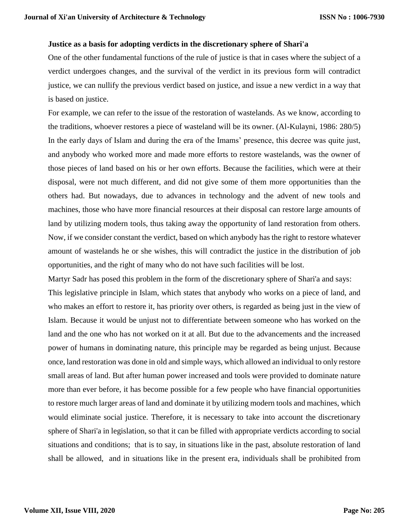#### **Justice as a basis for adopting verdicts in the discretionary sphere of Shari'a**

One of the other fundamental functions of the rule of justice is that in cases where the subject of a verdict undergoes changes, and the survival of the verdict in its previous form will contradict justice, we can nullify the previous verdict based on justice, and issue a new verdict in a way that is based on justice.

For example, we can refer to the issue of the restoration of wastelands. As we know, according to the traditions, whoever restores a piece of wasteland will be its owner. (Al-Kulayni, 1986: 280/5) In the early days of Islam and during the era of the Imams' presence, this decree was quite just, and anybody who worked more and made more efforts to restore wastelands, was the owner of those pieces of land based on his or her own efforts. Because the facilities, which were at their disposal, were not much different, and did not give some of them more opportunities than the others had. But nowadays, due to advances in technology and the advent of new tools and machines, those who have more financial resources at their disposal can restore large amounts of land by utilizing modern tools, thus taking away the opportunity of land restoration from others. Now, if we consider constant the verdict, based on which anybody has the right to restore whatever amount of wastelands he or she wishes, this will contradict the justice in the distribution of job opportunities, and the right of many who do not have such facilities will be lost.

Martyr Sadr has posed this problem in the form of the discretionary sphere of Shari'a and says: This legislative principle in Islam, which states that anybody who works on a piece of land, and who makes an effort to restore it, has priority over others, is regarded as being just in the view of Islam. Because it would be unjust not to differentiate between someone who has worked on the land and the one who has not worked on it at all. But due to the advancements and the increased power of humans in dominating nature, this principle may be regarded as being unjust. Because once, land restoration was done in old and simple ways, which allowed an individual to only restore small areas of land. But after human power increased and tools were provided to dominate nature more than ever before, it has become possible for a few people who have financial opportunities to restore much larger areas of land and dominate it by utilizing modern tools and machines, which would eliminate social justice. Therefore, it is necessary to take into account the discretionary sphere of Shari'a in legislation, so that it can be filled with appropriate verdicts according to social situations and conditions; that is to say, in situations like in the past, absolute restoration of land shall be allowed, and in situations like in the present era, individuals shall be prohibited from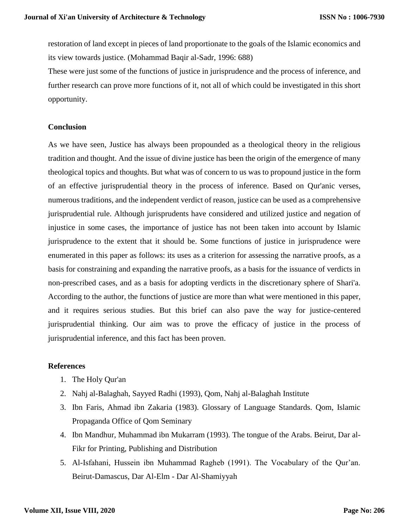restoration of land except in pieces of land proportionate to the goals of the Islamic economics and its view towards justice. (Mohammad Baqir al-Sadr, 1996: 688)

These were just some of the functions of justice in jurisprudence and the process of inference, and further research can prove more functions of it, not all of which could be investigated in this short opportunity.

# **Conclusion**

As we have seen, Justice has always been propounded as a theological theory in the religious tradition and thought. And the issue of divine justice has been the origin of the emergence of many theological topics and thoughts. But what was of concern to us was to propound justice in the form of an effective jurisprudential theory in the process of inference. Based on Qur'anic verses, numerous traditions, and the independent verdict of reason, justice can be used as a comprehensive jurisprudential rule. Although jurisprudents have considered and utilized justice and negation of injustice in some cases, the importance of justice has not been taken into account by Islamic jurisprudence to the extent that it should be. Some functions of justice in jurisprudence were enumerated in this paper as follows: its uses as a criterion for assessing the narrative proofs, as a basis for constraining and expanding the narrative proofs, as a basis for the issuance of verdicts in non-prescribed cases, and as a basis for adopting verdicts in the discretionary sphere of Shari'a. According to the author, the functions of justice are more than what were mentioned in this paper, and it requires serious studies. But this brief can also pave the way for justice-centered jurisprudential thinking. Our aim was to prove the efficacy of justice in the process of jurisprudential inference, and this fact has been proven.

#### **References**

- 1. The Holy Qur'an
- 2. Nahj al-Balaghah, Sayyed Radhi (1993), Qom, Nahj al-Balaghah Institute
- 3. Ibn Faris, Ahmad ibn Zakaria (1983). Glossary of Language Standards. Qom, Islamic Propaganda Office of Qom Seminary
- 4. Ibn Mandhur, Muhammad ibn Mukarram (1993). The tongue of the Arabs. Beirut, Dar al-Fikr for Printing, Publishing and Distribution
- 5. Al-Isfahani, Hussein ibn Muhammad Ragheb (1991). The Vocabulary of the Qur'an. Beirut-Damascus, Dar Al-Elm - Dar Al-Shamiyyah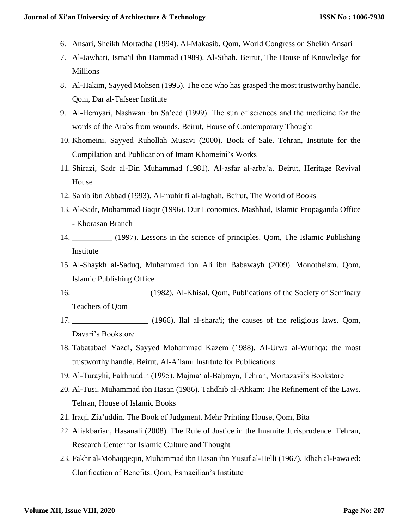- 6. Ansari, Sheikh Mortadha (1994). Al-Makasib. Qom, World Congress on Sheikh Ansari
- 7. Al-Jawhari, Isma'il ibn Hammad (1989). Al-Sihah. Beirut, The House of Knowledge for Millions
- 8. Al-Hakim, Sayyed Mohsen (1995). The one who has grasped the most trustworthy handle. Qom, Dar al-Tafseer Institute
- 9. Al-Hemyari, Nashwan ibn Sa'eed (1999). The sun of sciences and the medicine for the words of the Arabs from wounds. Beirut, House of Contemporary Thought
- 10. Khomeini, Sayyed Ruhollah Musavi (2000). Book of Sale. Tehran, Institute for the Compilation and Publication of Imam Khomeini's Works
- 11. Shirazi, Sadr al-Din Muhammad (1981). Al-asfār al-arbaʿa. Beirut, Heritage Revival House
- 12. Sahib ibn Abbad (1993). Al-muhit fi al-lughah. Beirut, The World of Books
- 13. Al-Sadr, Mohammad Baqir (1996). Our Economics. Mashhad, Islamic Propaganda Office - Khorasan Branch
- 14. \_\_\_\_\_\_\_\_\_\_ (1997). Lessons in the science of principles. Qom, The Islamic Publishing Institute
- 15. Al-Shaykh al-Saduq, Muhammad ibn Ali ibn Babawayh (2009). Monotheism. Qom, Islamic Publishing Office
- 16. \_\_\_\_\_\_\_\_\_\_\_\_\_\_\_\_\_\_\_ (1982). Al-Khisal. Qom, Publications of the Society of Seminary Teachers of Qom
- 17. \_\_\_\_\_\_\_\_\_\_\_\_\_\_\_\_\_\_\_ (1966). Ilal al-shara'i; the causes of the religious laws. Qom, Davari's Bookstore
- 18. Tabatabaei Yazdi, Sayyed Mohammad Kazem (1988). Al-Urwa al-Wuthqa: the most trustworthy handle. Beirut, Al-A'lami Institute for Publications
- 19. Al-Turayhi, Fakhruddin (1995). Majmaʻ al-Baḥrayn, Tehran, Mortazavi's Bookstore
- 20. Al-Tusi, Muhammad ibn Hasan (1986). Tahdhib al-Ahkam: The Refinement of the Laws. Tehran, House of Islamic Books
- 21. Iraqi, Zia'uddin. The Book of Judgment. Mehr Printing House, Qom, Bita
- 22. Aliakbarian, Hasanali (2008). The Rule of Justice in the Imamite Jurisprudence. Tehran, Research Center for Islamic Culture and Thought
- 23. Fakhr al-Mohaqqeqin, Muhammad ibn Hasan ibn Yusuf al-Helli (1967). Idhah al-Fawa'ed: Clarification of Benefits. Qom, Esmaeilian's Institute